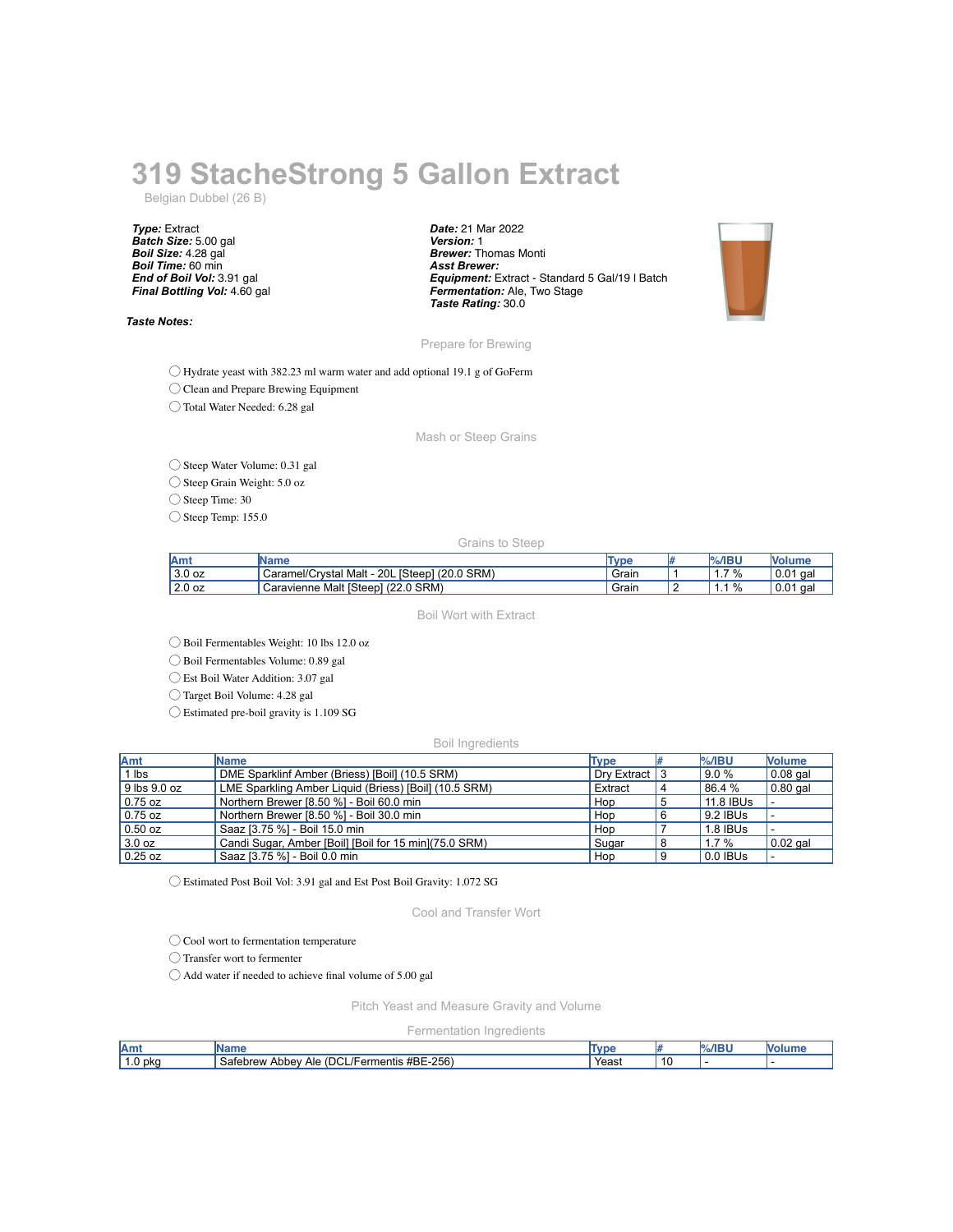## **319 StacheStrong 5 Gallon Extract**

Belgian Dubbel (26 B)

*Type:* Extract *Batch Size:* 5.00 gal *Boil Size:* 4.28 gal *Boil Time:* 60 min *End of Boil Vol:* 3.91 gal *Final Bottling Vol:* 4.60 gal

*Taste Notes:*

*Date:* 21 Mar 2022 *Version:* 1 *Brewer:* Thomas Monti *Asst Brewer: Equipment:* Extract - Standard 5 Gal/19 l Batch *Fermentation:* Ale, Two Stage *Taste Rating:* 30.0



Prepare for Brewing

◯ Hydrate yeast with 382.23 ml warm water and add optional 19.1 g of GoFerm

◯ Clean and Prepare Brewing Equipment

◯ Total Water Needed: 6.28 gal

Mash or Steep Grains

◯ Steep Water Volume: 0.31 gal

◯ Steep Grain Weight: 5.0 oz

◯ Steep Time: 30

◯ Steep Temp: 155.0

Grains to Steep

| <b>Amt</b> | Name                                               | Tvpe  | $%$ /IBU                    |             |
|------------|----------------------------------------------------|-------|-----------------------------|-------------|
| 13.0 oz    | . [Steep] (20.0 SRM)<br>Caramel/Crystal Malt - 20L | Grain | 7%<br>.                     | 0.01<br>aal |
| 12.0 oz    | Caravienne Malt [Steep] (22.0 SRM)                 | Grain | $\%$<br>$\overline{ }$<br>. | 0.01<br>aal |

Boil Wort with Extract

◯ Boil Fermentables Weight: 10 lbs 12.0 oz

◯ Boil Fermentables Volume: 0.89 gal

◯ Est Boil Water Addition: 3.07 gal

◯ Target Boil Volume: 4.28 gal

◯ Estimated pre-boil gravity is 1.109 SG

Boil Ingredients

| <b>Amt</b>   | Name                                                   | <b>Type</b>    | $\frac{9}{6}$ /IBU | <b>Nolume</b> |
|--------------|--------------------------------------------------------|----------------|--------------------|---------------|
| l Ibs        | DME Sparklinf Amber (Briess) [Boil] (10.5 SRM)         | Dry Extract 13 | 9.0%               | $0.08$ gal    |
| 9 lbs 9.0 oz | LME Sparkling Amber Liquid (Briess) [Boil] (10.5 SRM)  | Extract        | 86.4 %             | $0.80$ gal    |
| $0.75$ oz    | Northern Brewer [8.50 %] - Boil 60.0 min               | Hop            | 11.8 IBUs          |               |
| $0.75$ oz    | Northern Brewer [8.50 %] - Boil 30.0 min               | Hop            | 9.2 IBUS           |               |
| $0.50$ oz    | Saaz [3.75 %] - Boil 15.0 min                          | Hop            | 1.8 IBUs           |               |
| 3.0 oz       | Candi Sugar, Amber [Boil] [Boil for 15 min] (75.0 SRM) | Sugar          | $1.7\%$            | $0.02$ gal    |
| $0.25$ oz    | Saaz [3.75 %] - Boil 0.0 min                           | Hop            | $0.0$ IBUs         |               |

◯ Estimated Post Boil Vol: 3.91 gal and Est Post Boil Gravity: 1.072 SG

Cool and Transfer Wort

◯ Cool wort to fermentation temperature

◯ Transfer wort to fermenter

◯ Add water if needed to achieve final volume of 5.00 gal

Pitch Yeast and Measure Gravity and Volume

Fermentation Ingredients

| <b>Am</b>      | ше                                                               | . I vr | ADI<br>. | M |
|----------------|------------------------------------------------------------------|--------|----------|---|
| ) pko<br>. . U | #BE-256<br>nci<br>⌒<br>Ale<br>. Ahhev<br>Satebrew<br>./Fermentis | Yeast  |          |   |